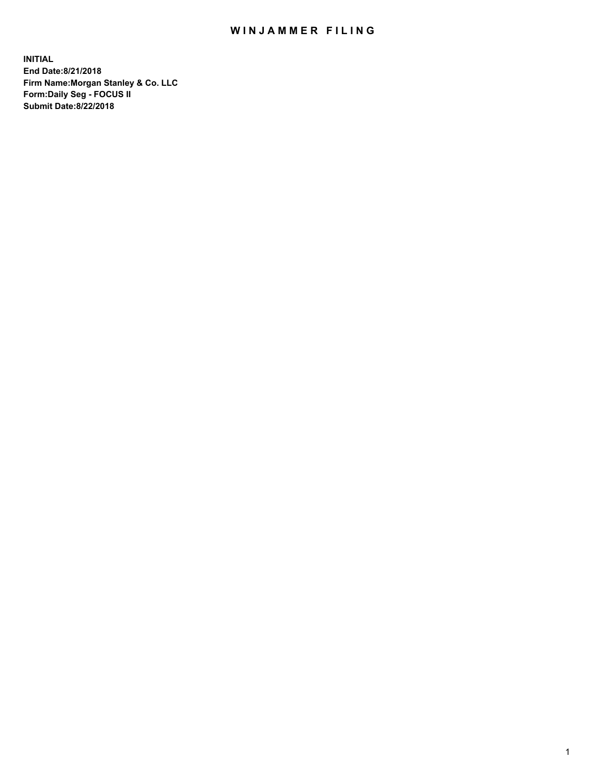## WIN JAMMER FILING

**INITIAL End Date:8/21/2018 Firm Name:Morgan Stanley & Co. LLC Form:Daily Seg - FOCUS II Submit Date:8/22/2018**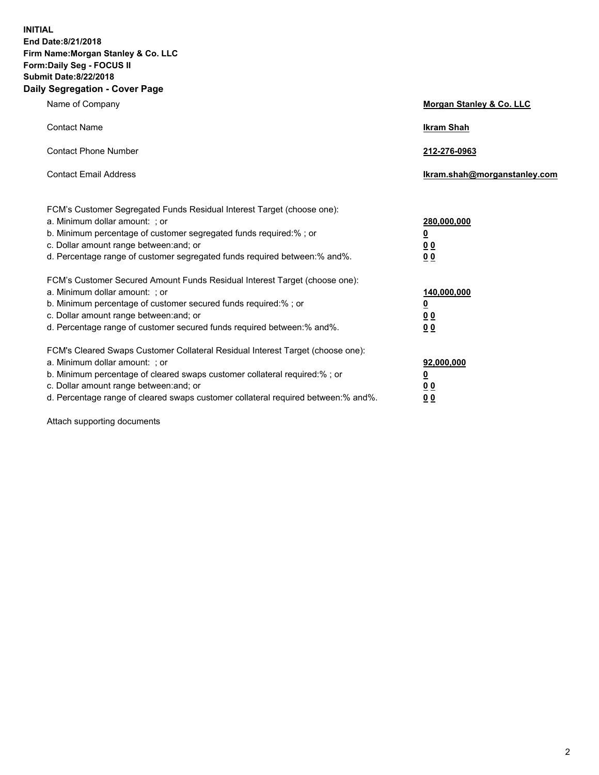**INITIAL End Date:8/21/2018 Firm Name:Morgan Stanley & Co. LLC Form:Daily Seg - FOCUS II Submit Date:8/22/2018 Daily Segregation - Cover Page**

| Name of Company                                                                                                                                                                                                                                                                                                                | Morgan Stanley & Co. LLC                               |
|--------------------------------------------------------------------------------------------------------------------------------------------------------------------------------------------------------------------------------------------------------------------------------------------------------------------------------|--------------------------------------------------------|
| <b>Contact Name</b>                                                                                                                                                                                                                                                                                                            | <b>Ikram Shah</b>                                      |
| <b>Contact Phone Number</b>                                                                                                                                                                                                                                                                                                    | 212-276-0963                                           |
| <b>Contact Email Address</b>                                                                                                                                                                                                                                                                                                   | lkram.shah@morganstanley.com                           |
| FCM's Customer Segregated Funds Residual Interest Target (choose one):<br>a. Minimum dollar amount: ; or<br>b. Minimum percentage of customer segregated funds required:% ; or<br>c. Dollar amount range between: and; or<br>d. Percentage range of customer segregated funds required between:% and%.                         | 280,000,000<br><u>0</u><br><u>0 0</u><br>0 Q           |
| FCM's Customer Secured Amount Funds Residual Interest Target (choose one):<br>a. Minimum dollar amount: ; or<br>b. Minimum percentage of customer secured funds required:%; or<br>c. Dollar amount range between: and; or<br>d. Percentage range of customer secured funds required between:% and%.                            | 140,000,000<br><u>0</u><br><u>00</u><br>0 <sub>0</sub> |
| FCM's Cleared Swaps Customer Collateral Residual Interest Target (choose one):<br>a. Minimum dollar amount: ; or<br>b. Minimum percentage of cleared swaps customer collateral required:% ; or<br>c. Dollar amount range between: and; or<br>d. Percentage range of cleared swaps customer collateral required between:% and%. | 92,000,000<br><u>0</u><br><u>00</u><br>0 <sup>0</sup>  |

Attach supporting documents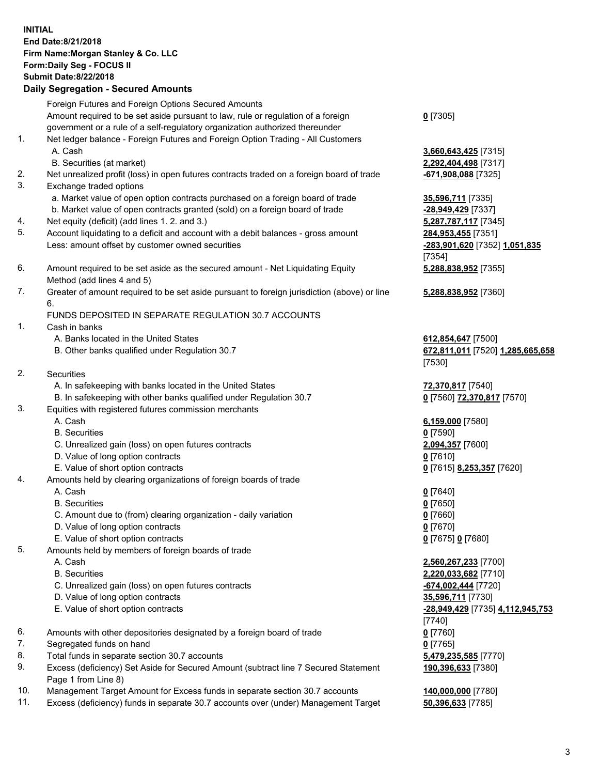## **INITIAL End Date:8/21/2018 Firm Name:Morgan Stanley & Co. LLC Form:Daily Seg - FOCUS II Submit Date:8/22/2018 Daily Segregation - Secured Amounts**

Foreign Futures and Foreign Options Secured Amounts Amount required to be set aside pursuant to law, rule or regulation of a foreign government or a rule of a self-regulatory organization authorized thereunder 1. Net ledger balance - Foreign Futures and Foreign Option Trading - All Customers A. Cash **3,660,643,425** [7315] B. Securities (at market) **2,292,404,498** [7317] 2. Net unrealized profit (loss) in open futures contracts traded on a foreign board of trade **-671,908,088** [7325]

- 3. Exchange traded options
	- a. Market value of open option contracts purchased on a foreign board of trade **35,596,711** [7335]
	- b. Market value of open contracts granted (sold) on a foreign board of trade **-28,949,429** [7337]
- 4. Net equity (deficit) (add lines 1. 2. and 3.) **5,287,787,117** [7345]
- 5. Account liquidating to a deficit and account with a debit balances gross amount **284,953,455** [7351] Less: amount offset by customer owned securities **-283,901,620** [7352] **1,051,835**
- 6. Amount required to be set aside as the secured amount Net Liquidating Equity Method (add lines 4 and 5)
- 7. Greater of amount required to be set aside pursuant to foreign jurisdiction (above) or line 6.

## FUNDS DEPOSITED IN SEPARATE REGULATION 30.7 ACCOUNTS

- 1. Cash in banks
	- A. Banks located in the United States **612,854,647** [7500]
	- B. Other banks qualified under Regulation 30.7 **672,811,011** [7520] **1,285,665,658**
- 2. Securities
	- A. In safekeeping with banks located in the United States **72,370,817** [7540]
	- B. In safekeeping with other banks qualified under Regulation 30.7 **0** [7560] **72,370,817** [7570]
- 3. Equities with registered futures commission merchants
	-
	- B. Securities **0** [7590]
	- C. Unrealized gain (loss) on open futures contracts **2,094,357** [7600]
	- D. Value of long option contracts **0** [7610]
- E. Value of short option contracts **0** [7615] **8,253,357** [7620]
- 4. Amounts held by clearing organizations of foreign boards of trade
	- A. Cash **0** [7640]
	- B. Securities **0** [7650]
	- C. Amount due to (from) clearing organization daily variation **0** [7660]
	- D. Value of long option contracts **0** [7670]
	- E. Value of short option contracts **0** [7675] **0** [7680]
- 5. Amounts held by members of foreign boards of trade
	-
	-
	- C. Unrealized gain (loss) on open futures contracts **-674,002,444** [7720]
	- D. Value of long option contracts **35,596,711** [7730]
	- E. Value of short option contracts **-28,949,429** [7735] **4,112,945,753**
- 6. Amounts with other depositories designated by a foreign board of trade **0** [7760]
- 7. Segregated funds on hand **0** [7765]
- 8. Total funds in separate section 30.7 accounts **5,479,235,585** [7770]
- 9. Excess (deficiency) Set Aside for Secured Amount (subtract line 7 Secured Statement Page 1 from Line 8)
- 10. Management Target Amount for Excess funds in separate section 30.7 accounts **140,000,000** [7780]
- 11. Excess (deficiency) funds in separate 30.7 accounts over (under) Management Target **50,396,633** [7785]

**0** [7305]

[7354] **5,288,838,952** [7355]

**5,288,838,952** [7360]

[7530]

A. Cash **6,159,000** [7580]

 A. Cash **2,560,267,233** [7700] B. Securities **2,220,033,682** [7710] [7740] **190,396,633** [7380]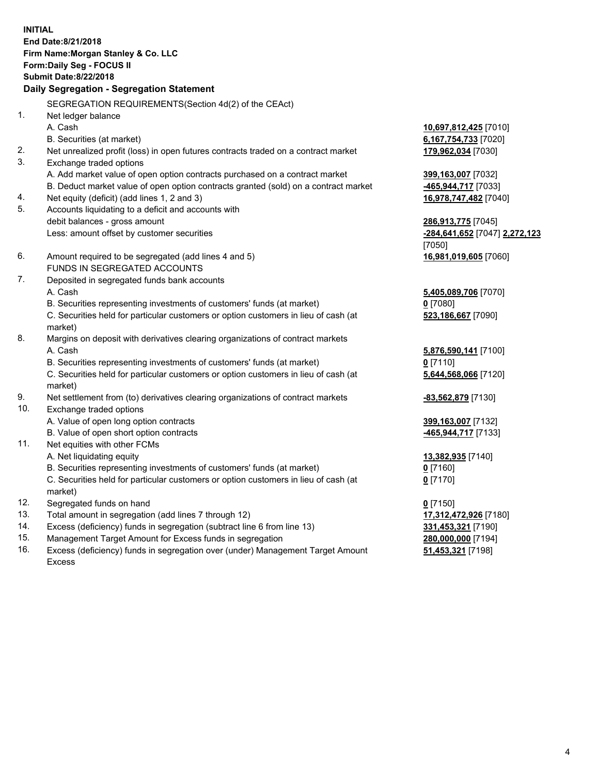**INITIAL End Date:8/21/2018 Firm Name:Morgan Stanley & Co. LLC Form:Daily Seg - FOCUS II Submit Date:8/22/2018 Daily Segregation - Segregation Statement** SEGREGATION REQUIREMENTS(Section 4d(2) of the CEAct) 1. Net ledger balance A. Cash **10,697,812,425** [7010] B. Securities (at market) **6,167,754,733** [7020] 2. Net unrealized profit (loss) in open futures contracts traded on a contract market **179,962,034** [7030] 3. Exchange traded options A. Add market value of open option contracts purchased on a contract market **399,163,007** [7032] B. Deduct market value of open option contracts granted (sold) on a contract market **-465,944,717** [7033] 4. Net equity (deficit) (add lines 1, 2 and 3) **16,978,747,482** [7040] 5. Accounts liquidating to a deficit and accounts with debit balances - gross amount **286,913,775** [7045] Less: amount offset by customer securities **-284,641,652** [7047] **2,272,123** [7050] 6. Amount required to be segregated (add lines 4 and 5) **16,981,019,605** [7060] FUNDS IN SEGREGATED ACCOUNTS 7. Deposited in segregated funds bank accounts A. Cash **5,405,089,706** [7070] B. Securities representing investments of customers' funds (at market) **0** [7080] C. Securities held for particular customers or option customers in lieu of cash (at market) **523,186,667** [7090] 8. Margins on deposit with derivatives clearing organizations of contract markets A. Cash **5,876,590,141** [7100] B. Securities representing investments of customers' funds (at market) **0** [7110] C. Securities held for particular customers or option customers in lieu of cash (at market) **5,644,568,066** [7120] 9. Net settlement from (to) derivatives clearing organizations of contract markets **-83,562,879** [7130] 10. Exchange traded options A. Value of open long option contracts **399,163,007** [7132] B. Value of open short option contracts **-465,944,717** [7133] 11. Net equities with other FCMs A. Net liquidating equity **13,382,935** [7140] B. Securities representing investments of customers' funds (at market) **0** [7160] C. Securities held for particular customers or option customers in lieu of cash (at market) **0** [7170] 12. Segregated funds on hand **0** [7150] 13. Total amount in segregation (add lines 7 through 12) **17,312,472,926** [7180] 14. Excess (deficiency) funds in segregation (subtract line 6 from line 13) **331,453,321** [7190] 15. Management Target Amount for Excess funds in segregation **280,000,000** [7194]

16. Excess (deficiency) funds in segregation over (under) Management Target Amount Excess

**51,453,321** [7198]